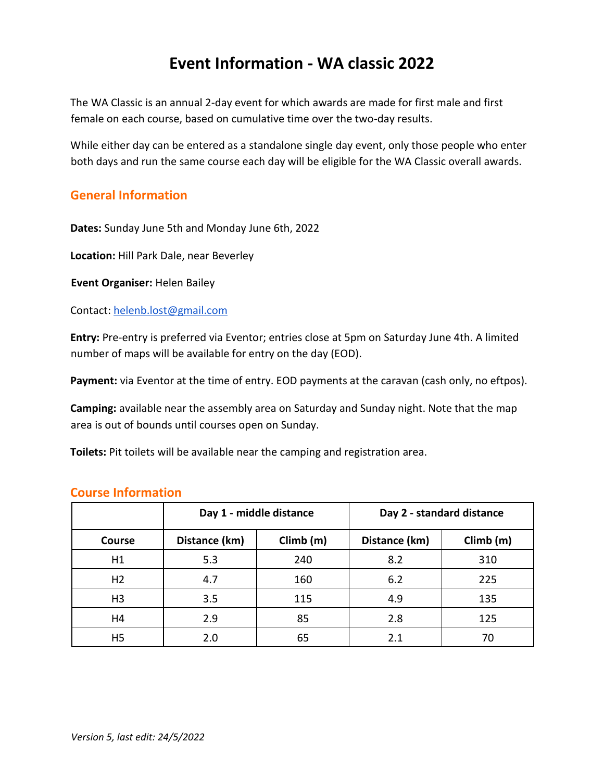# **Event Information - WA classic 2022**

The WA Classic is an annual 2-day event for which awards are made for first male and first female on each course, based on cumulative time over the two-day results.

While either day can be entered as a standalone single day event, only those people who enter both days and run the same course each day will be eligible for the WA Classic overall awards.

### **General Information**

**Dates:** Sunday June 5th and Monday June 6th, 2022

**Location:** Hill Park Dale, near Beverley

**Event Organiser:** Helen Bailey

Contact: helenb.lost@gmail.com

**Entry:** Pre-entry is preferred via Eventor; entries close at 5pm on Saturday June 4th. A limited number of maps will be available for entry on the day (EOD).

Payment: via Eventor at the time of entry. EOD payments at the caravan (cash only, no eftpos).

**Camping:** available near the assembly area on Saturday and Sunday night. Note that the map area is out of bounds until courses open on Sunday.

**Toilets:** Pit toilets will be available near the camping and registration area.

|                | Day 1 - middle distance |           | Day 2 - standard distance |           |
|----------------|-------------------------|-----------|---------------------------|-----------|
| <b>Course</b>  | Distance (km)           | Climb (m) | Distance (km)             | Climb (m) |
| H1             | 5.3                     | 240       | 8.2                       | 310       |
| H <sub>2</sub> | 4.7                     | 160       | 6.2                       | 225       |
| H <sub>3</sub> | 3.5                     | 115       | 4.9                       | 135       |
| H4             | 2.9                     | 85        | 2.8                       | 125       |
| H5             | 2.0                     | 65        | 2.1                       | 70        |

# **Course Information**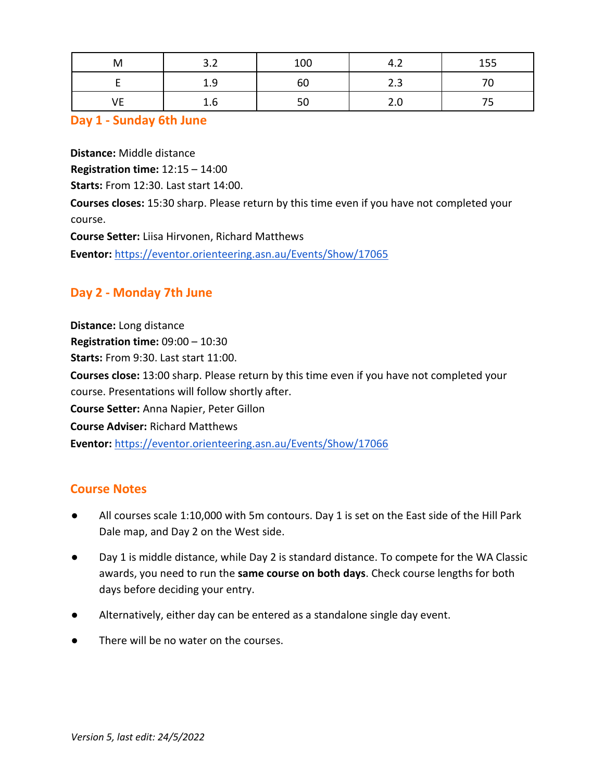| M  | ຳາ<br>J.Z | 100 | 4<br>−…       | 155 |
|----|-----------|-----|---------------|-----|
|    | 1.9       | ы   | $\sim$<br>د.ء |     |
| VE | 1.b       | 50  | ے ۔           | -   |

### **Day 1 - Sunday 6th June**

**Distance:** Middle distance

**Registration time:** 12:15 – 14:00

**Starts:** From 12:30. Last start 14:00.

**Courses closes:** 15:30 sharp. Please return by this time even if you have not completed your course.

**Course Setter:** Liisa Hirvonen, Richard Matthews

**Eventor:** https://eventor.orienteering.asn.au/Events/Show/17065

# **Day 2 - Monday 7th June**

**Distance:** Long distance **Registration time:** 09:00 – 10:30 **Starts:** From 9:30. Last start 11:00. **Courses close:** 13:00 sharp. Please return by this time even if you have not completed your course. Presentations will follow shortly after. **Course Setter:** Anna Napier, Peter Gillon **Course Adviser:** Richard Matthews **Eventor:** https://eventor.orienteering.asn.au/Events/Show/17066

## **Course Notes**

- All courses scale 1:10,000 with 5m contours. Day 1 is set on the East side of the Hill Park Dale map, and Day 2 on the West side.
- Day 1 is middle distance, while Day 2 is standard distance. To compete for the WA Classic awards, you need to run the **same course on both days**. Check course lengths for both days before deciding your entry.
- Alternatively, either day can be entered as a standalone single day event.
- There will be no water on the courses.